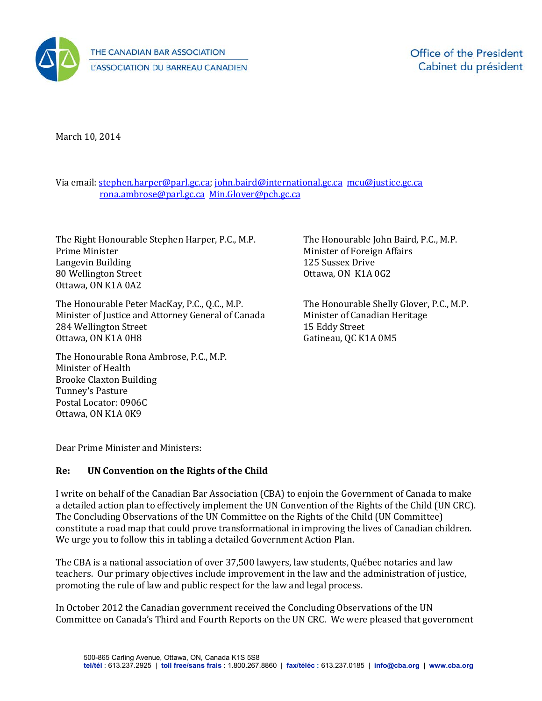

March 10, 2014

## Via email[: stephen.harper@parl.gc.ca;](mailto:stephen.harper@parl.gc.ca) [john.baird@international.gc.ca](mailto:john.baird@international.gc.ca) [mcu@justice.gc.ca](mailto:mcu@justice.gc.ca)  [rona.ambrose@parl.gc.ca](mailto:rona.ambrose@parl.gc.ca) [Min.Glover@pch.gc.ca](mailto:Min.Glover@pch.gc.ca)

The Right Honourable Stephen Harper, P.C., M.P. Prime Minister Langevin Building 80 Wellington Street Ottawa, ON K1A 0A2

The Honourable Peter MacKay, P.C., Q.C., M.P. Minister of Justice and Attorney General of Canada 284 Wellington Street Ottawa, ON K1A 0H8

The Honourable Rona Ambrose, P.C., M.P. Minister of Health Brooke Claxton Building Tunney's Pasture Postal Locator: 0906C Ottawa, ON K1A 0K9

The Honourable John Baird, P.C., M.P. Minister of Foreign Affairs 125 Sussex Drive Ottawa, ON K1A 0G2

The Honourable Shelly Glover, P.C., M.P. Minister of Canadian Heritage 15 Eddy Street Gatineau, QC K1A 0M5

Dear Prime Minister and Ministers:

## **Re: UN Convention on the Rights of the Child**

I write on behalf of the Canadian Bar Association (CBA) to enjoin the Government of Canada to make a detailed action plan to effectively implement the UN Convention of the Rights of the Child (UN CRC). The Concluding Observations of the UN Committee on the Rights of the Child (UN Committee) constitute a road map that could prove transformational in improving the lives of Canadian children. We urge you to follow this in tabling a detailed Government Action Plan.

The CBA is a national association of over 37,500 lawyers, law students, Québec notaries and law teachers. Our primary objectives include improvement in the law and the administration of justice, promoting the rule of law and public respect for the law and legal process.

In October 2012 the Canadian government received the Concluding Observations of the UN Committee on Canada's Third and Fourth Reports on the UN CRC. We were pleased that government